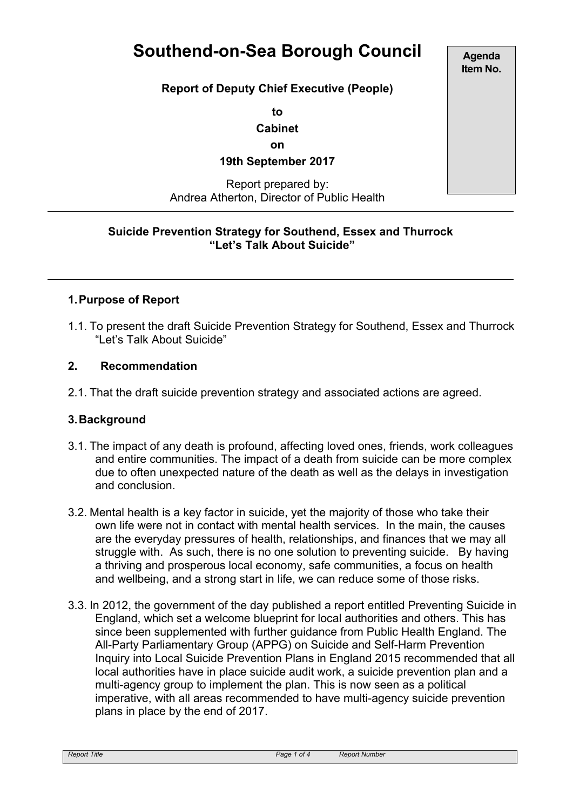# **Southend-on-Sea Borough Council**

**Report of Deputy Chief Executive (People)**

**to**

**Cabinet**

**on**

**19th September 2017**

#### Report prepared by: Andrea Atherton, Director of Public Health

### **Suicide Prevention Strategy for Southend, Essex and Thurrock "Let's Talk About Suicide"**

## **1.Purpose of Report**

1.1. To present the draft Suicide Prevention Strategy for Southend, Essex and Thurrock "Let's Talk About Suicide"

### **2. Recommendation**

2.1. That the draft suicide prevention strategy and associated actions are agreed.

### **3.Background**

- 3.1. The impact of any death is profound, affecting loved ones, friends, work colleagues and entire communities. The impact of a death from suicide can be more complex due to often unexpected nature of the death as well as the delays in investigation and conclusion.
- 3.2. Mental health is a key factor in suicide, yet the majority of those who take their own life were not in contact with mental health services. In the main, the causes are the everyday pressures of health, relationships, and finances that we may all struggle with. As such, there is no one solution to preventing suicide. By having a thriving and prosperous local economy, safe communities, a focus on health and wellbeing, and a strong start in life, we can reduce some of those risks.
- 3.3. In 2012, the government of the day published a report entitled Preventing Suicide in England, which set a welcome blueprint for local authorities and others. This has since been supplemented with further guidance from Public Health England. The All-Party Parliamentary Group (APPG) on Suicide and Self-Harm Prevention Inquiry into Local Suicide Prevention Plans in England 2015 recommended that all local authorities have in place suicide audit work, a suicide prevention plan and a multi-agency group to implement the plan. This is now seen as a political imperative, with all areas recommended to have multi-agency suicide prevention plans in place by the end of 2017.

**Agenda Item No.**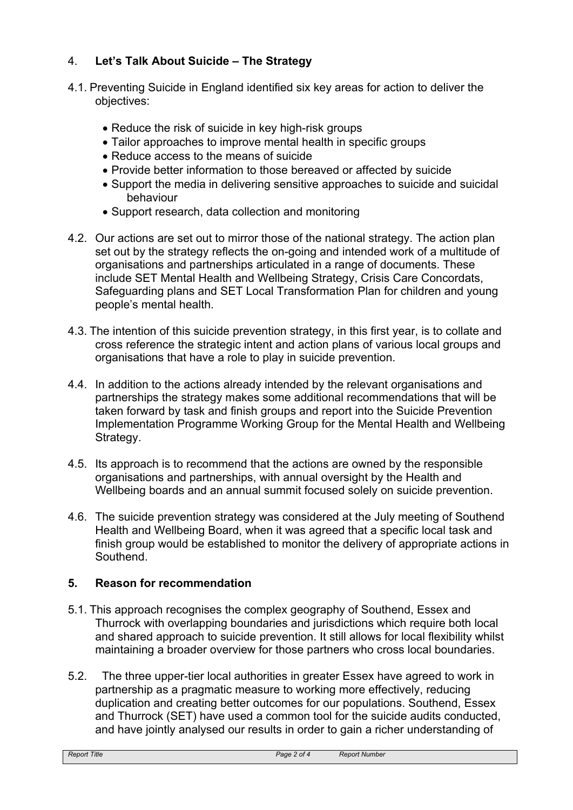## 4. **Let's Talk About Suicide – The Strategy**

- 4.1. Preventing Suicide in England identified six key areas for action to deliver the objectives:
	- Reduce the risk of suicide in key high-risk groups
	- Tailor approaches to improve mental health in specific groups
	- Reduce access to the means of suicide
	- Provide better information to those bereaved or affected by suicide
	- Support the media in delivering sensitive approaches to suicide and suicidal behaviour
	- Support research, data collection and monitoring
- 4.2. Our actions are set out to mirror those of the national strategy. The action plan set out by the strategy reflects the on-going and intended work of a multitude of organisations and partnerships articulated in a range of documents. These include SET Mental Health and Wellbeing Strategy, Crisis Care Concordats, Safeguarding plans and SET Local Transformation Plan for children and young people's mental health.
- 4.3. The intention of this suicide prevention strategy, in this first year, is to collate and cross reference the strategic intent and action plans of various local groups and organisations that have a role to play in suicide prevention.
- 4.4. In addition to the actions already intended by the relevant organisations and partnerships the strategy makes some additional recommendations that will be taken forward by task and finish groups and report into the Suicide Prevention Implementation Programme Working Group for the Mental Health and Wellbeing Strategy.
- 4.5. Its approach is to recommend that the actions are owned by the responsible organisations and partnerships, with annual oversight by the Health and Wellbeing boards and an annual summit focused solely on suicide prevention.
- 4.6. The suicide prevention strategy was considered at the July meeting of Southend Health and Wellbeing Board, when it was agreed that a specific local task and finish group would be established to monitor the delivery of appropriate actions in **Southend**

## **5. Reason for recommendation**

- 5.1. This approach recognises the complex geography of Southend, Essex and Thurrock with overlapping boundaries and jurisdictions which require both local and shared approach to suicide prevention. It still allows for local flexibility whilst maintaining a broader overview for those partners who cross local boundaries.
- 5.2. The three upper-tier local authorities in greater Essex have agreed to work in partnership as a pragmatic measure to working more effectively, reducing duplication and creating better outcomes for our populations. Southend, Essex and Thurrock (SET) have used a common tool for the suicide audits conducted, and have jointly analysed our results in order to gain a richer understanding of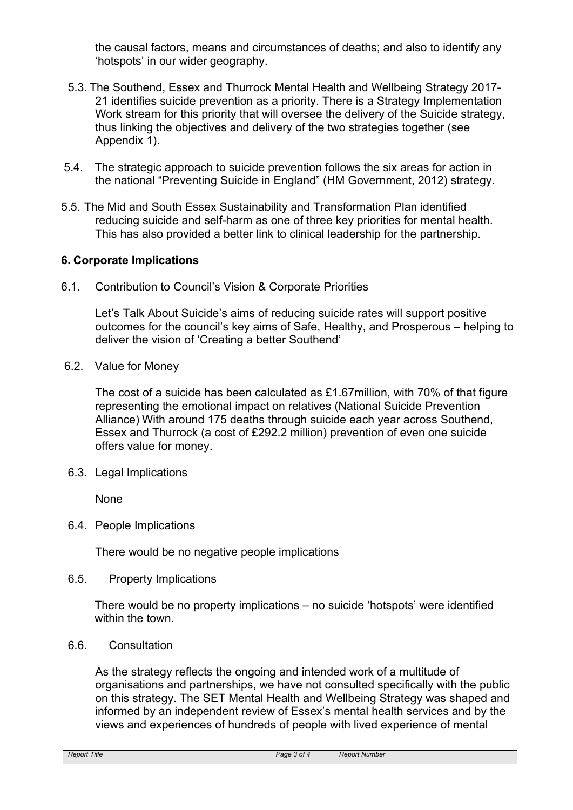the causal factors, means and circumstances of deaths; and also to identify any 'hotspots' in our wider geography.

- 5.3. The Southend, Essex and Thurrock Mental Health and Wellbeing Strategy 2017- 21 identifies suicide prevention as a priority. There is a Strategy Implementation Work stream for this priority that will oversee the delivery of the Suicide strategy, thus linking the objectives and delivery of the two strategies together (see Appendix 1).
- 5.4. The strategic approach to suicide prevention follows the six areas for action in the national "Preventing Suicide in England" (HM Government, 2012) strategy.
- 5.5. The Mid and South Essex Sustainability and Transformation Plan identified reducing suicide and self-harm as one of three key priorities for mental health. This has also provided a better link to clinical leadership for the partnership.

### **6. Corporate Implications**

6.1. Contribution to Council's Vision & Corporate Priorities

Let's Talk About Suicide's aims of reducing suicide rates will support positive outcomes for the council's key aims of Safe, Healthy, and Prosperous – helping to deliver the vision of 'Creating a better Southend'

6.2. Value for Money

The cost of a suicide has been calculated as £1.67million, with 70% of that figure representing the emotional impact on relatives (National Suicide Prevention Alliance) With around 175 deaths through suicide each year across Southend, Essex and Thurrock (a cost of £292.2 million) prevention of even one suicide offers value for money.

6.3. Legal Implications

None

6.4. People Implications

There would be no negative people implications

6.5. Property Implications

There would be no property implications – no suicide 'hotspots' were identified within the town

6.6. Consultation

As the strategy reflects the ongoing and intended work of a multitude of organisations and partnerships, we have not consulted specifically with the public on this strategy. The SET Mental Health and Wellbeing Strategy was shaped and informed by an independent review of Essex's mental health services and by the views and experiences of hundreds of people with lived experience of mental